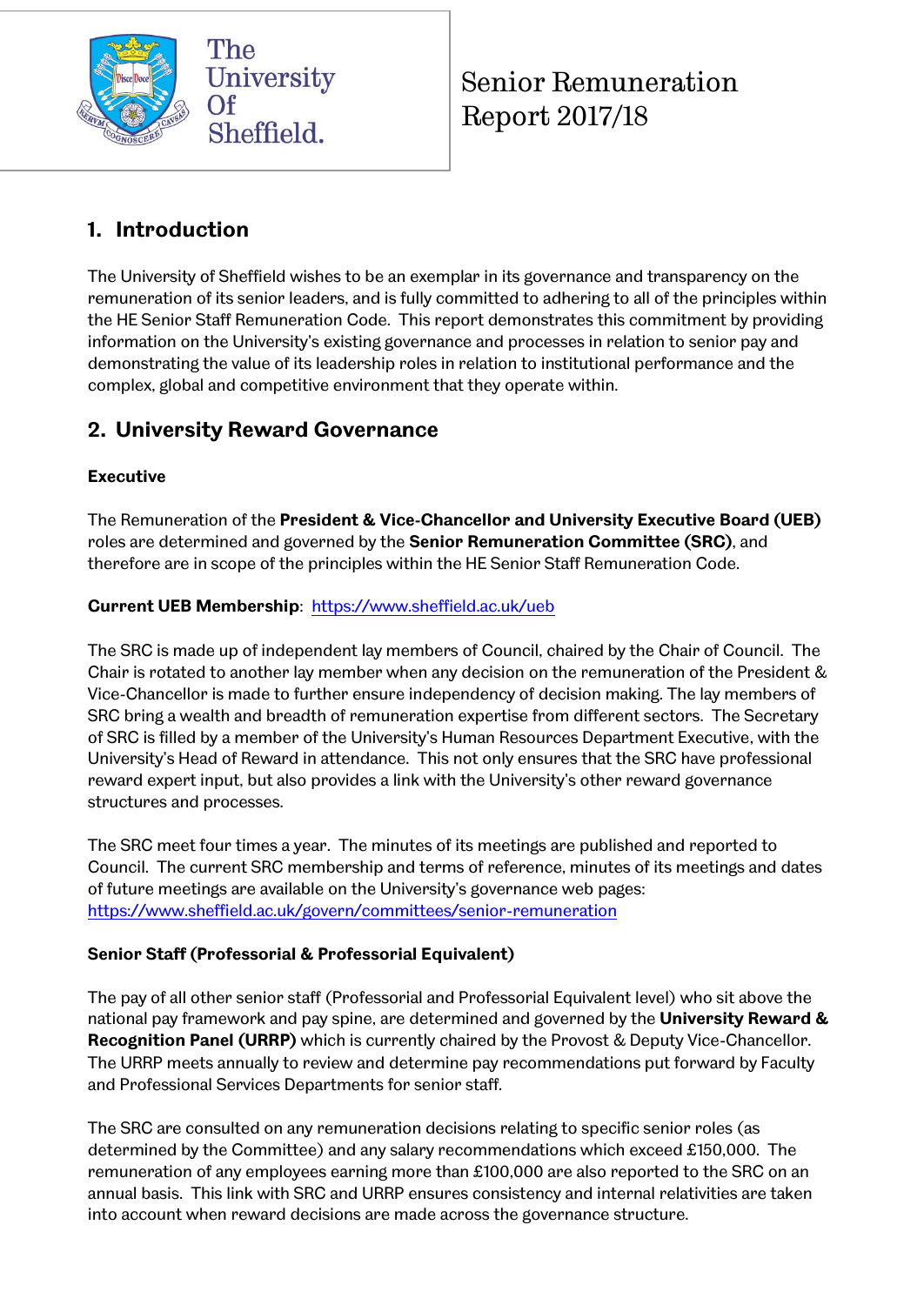

Senior Remuneration Report 2017/18

## **1. Introduction**

The University of Sheffield wishes to be an exemplar in its governance and transparency on the remuneration of its senior leaders, and is fully committed to adhering to all of the principles within the HE Senior Staff Remuneration Code. This report demonstrates this commitment by providing information on the University's existing governance and processes in relation to senior pay and demonstrating the value of its leadership roles in relation to institutional performance and the complex, global and competitive environment that they operate within.

## **2. University Reward Governance**

## **Executive**

The Remuneration of the **President & Vice-Chancellor and University Executive Board (UEB)** roles are determined and governed by the **Senior Remuneration Committee (SRC)**, and therefore are in scope of the principles within the HE Senior Staff Remuneration Code.

### **Current UEB Membership**: <https://www.sheffield.ac.uk/ueb>

The SRC is made up of independent lay members of Council, chaired by the Chair of Council. The Chair is rotated to another lay member when any decision on the remuneration of the President & Vice-Chancellor is made to further ensure independency of decision making. The lay members of SRC bring a wealth and breadth of remuneration expertise from different sectors. The Secretary of SRC is filled by a member of the University's Human Resources Department Executive, with the University's Head of Reward in attendance. This not only ensures that the SRC have professional reward expert input, but also provides a link with the University's other reward governance structures and processes.

The SRC meet four times a year. The minutes of its meetings are published and reported to Council. The current SRC membership and terms of reference, minutes of its meetings and dates of future meetings are available on the University's governance web pages: <https://www.sheffield.ac.uk/govern/committees/senior-remuneration>

### **Senior Staff (Professorial & Professorial Equivalent)**

The pay of all other senior staff (Professorial and Professorial Equivalent level) who sit above the national pay framework and pay spine, are determined and governed by the **University Reward & Recognition Panel (URRP)** which is currently chaired by the Provost & Deputy Vice-Chancellor. The URRP meets annually to review and determine pay recommendations put forward by Faculty and Professional Services Departments for senior staff.

The SRC are consulted on any remuneration decisions relating to specific senior roles (as determined by the Committee) and any salary recommendations which exceed £150,000. The remuneration of any employees earning more than £100,000 are also reported to the SRC on an annual basis. This link with SRC and URRP ensures consistency and internal relativities are taken into account when reward decisions are made across the governance structure.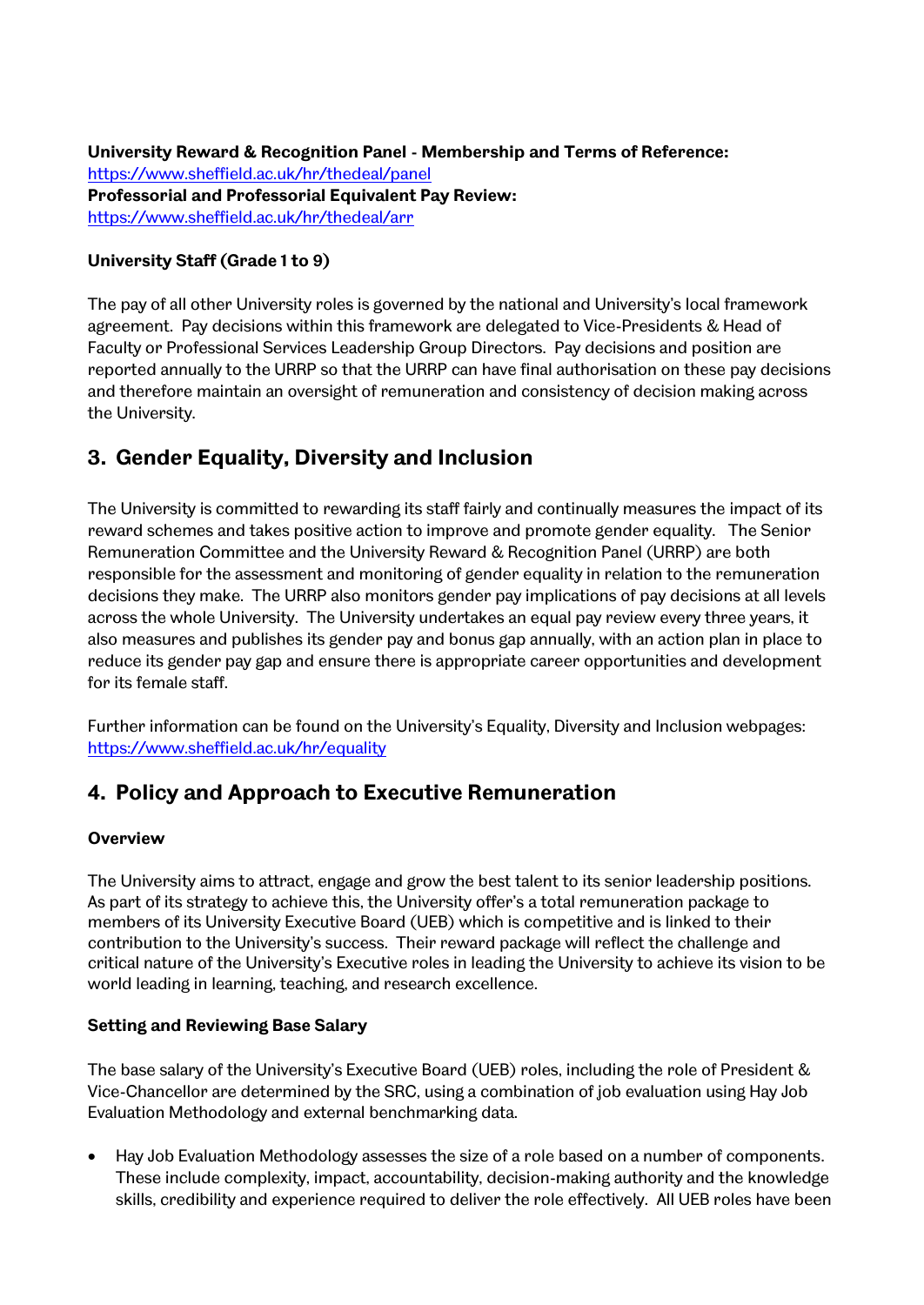**University Reward & Recognition Panel - Membership and Terms of Reference:** <https://www.sheffield.ac.uk/hr/thedeal/panel> **Professorial and Professorial Equivalent Pay Review:** <https://www.sheffield.ac.uk/hr/thedeal/arr>

#### **University Staff (Grade 1 to 9)**

The pay of all other University roles is governed by the national and University's local framework agreement. Pay decisions within this framework are delegated to Vice-Presidents & Head of Faculty or Professional Services Leadership Group Directors. Pay decisions and position are reported annually to the URRP so that the URRP can have final authorisation on these pay decisions and therefore maintain an oversight of remuneration and consistency of decision making across the University.

## **3. Gender Equality, Diversity and Inclusion**

The University is committed to rewarding its staff fairly and continually measures the impact of its reward schemes and takes positive action to improve and promote gender equality. The Senior Remuneration Committee and the University Reward & Recognition Panel (URRP) are both responsible for the assessment and monitoring of gender equality in relation to the remuneration decisions they make. The URRP also monitors gender pay implications of pay decisions at all levels across the whole University. The University undertakes an equal pay review every three years, it also measures and publishes its gender pay and bonus gap annually, with an action plan in place to reduce its gender pay gap and ensure there is appropriate career opportunities and development for its female staff.

Further information can be found on the University's Equality, Diversity and Inclusion webpages: <https://www.sheffield.ac.uk/hr/equality>

## **4. Policy and Approach to Executive Remuneration**

#### **Overview**

The University aims to attract, engage and grow the best talent to its senior leadership positions. As part of its strategy to achieve this, the University offer's a total remuneration package to members of its University Executive Board (UEB) which is competitive and is linked to their contribution to the University's success. Their reward package will reflect the challenge and critical nature of the University's Executive roles in leading the University to achieve its vision to be world leading in learning, teaching, and research excellence.

#### **Setting and Reviewing Base Salary**

The base salary of the University's Executive Board (UEB) roles, including the role of President & Vice-Chancellor are determined by the SRC, using a combination of job evaluation using Hay Job Evaluation Methodology and external benchmarking data.

 Hay Job Evaluation Methodology assesses the size of a role based on a number of components. These include complexity, impact, accountability, decision-making authority and the knowledge skills, credibility and experience required to deliver the role effectively. All UEB roles have been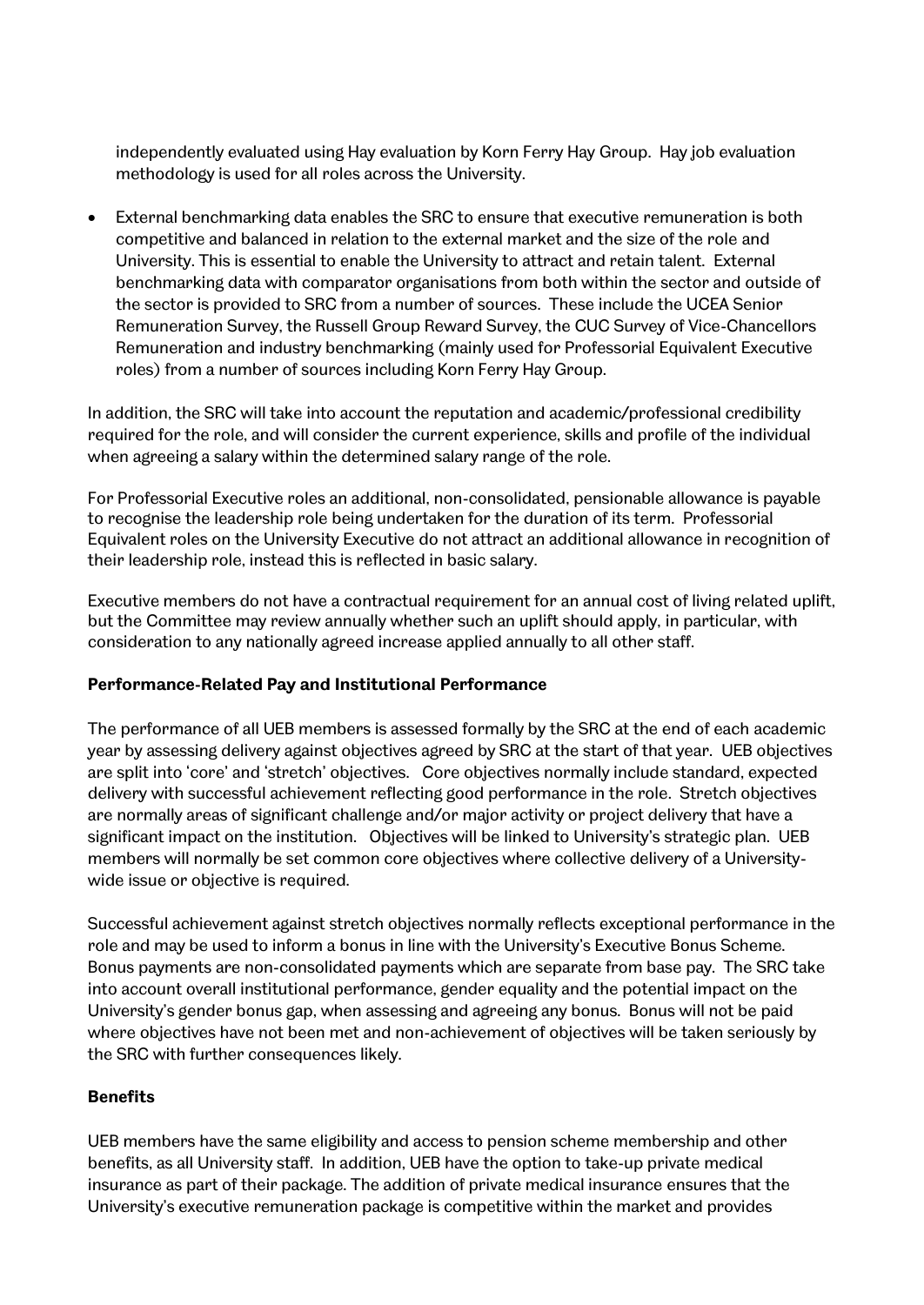independently evaluated using Hay evaluation by Korn Ferry Hay Group. Hay job evaluation methodology is used for all roles across the University.

 External benchmarking data enables the SRC to ensure that executive remuneration is both competitive and balanced in relation to the external market and the size of the role and University. This is essential to enable the University to attract and retain talent. External benchmarking data with comparator organisations from both within the sector and outside of the sector is provided to SRC from a number of sources. These include the UCEA Senior Remuneration Survey, the Russell Group Reward Survey, the CUC Survey of Vice-Chancellors Remuneration and industry benchmarking (mainly used for Professorial Equivalent Executive roles) from a number of sources including Korn Ferry Hay Group.

In addition, the SRC will take into account the reputation and academic/professional credibility required for the role, and will consider the current experience, skills and profile of the individual when agreeing a salary within the determined salary range of the role.

For Professorial Executive roles an additional, non-consolidated, pensionable allowance is payable to recognise the leadership role being undertaken for the duration of its term. Professorial Equivalent roles on the University Executive do not attract an additional allowance in recognition of their leadership role, instead this is reflected in basic salary.

Executive members do not have a contractual requirement for an annual cost of living related uplift, but the Committee may review annually whether such an uplift should apply, in particular, with consideration to any nationally agreed increase applied annually to all other staff.

#### **Performance-Related Pay and Institutional Performance**

The performance of all UEB members is assessed formally by the SRC at the end of each academic year by assessing delivery against objectives agreed by SRC at the start of that year. UEB objectives are split into 'core' and 'stretch' objectives. Core objectives normally include standard, expected delivery with successful achievement reflecting good performance in the role. Stretch objectives are normally areas of significant challenge and/or major activity or project delivery that have a significant impact on the institution. Objectives will be linked to University's strategic plan. UEB members will normally be set common core objectives where collective delivery of a Universitywide issue or objective is required.

Successful achievement against stretch objectives normally reflects exceptional performance in the role and may be used to inform a bonus in line with the University's Executive Bonus Scheme. Bonus payments are non-consolidated payments which are separate from base pay. The SRC take into account overall institutional performance, gender equality and the potential impact on the University's gender bonus gap, when assessing and agreeing any bonus. Bonus will not be paid where objectives have not been met and non-achievement of objectives will be taken seriously by the SRC with further consequences likely.

#### **Benefits**

UEB members have the same eligibility and access to pension scheme membership and other benefits, as all University staff. In addition, UEB have the option to take-up private medical insurance as part of their package. The addition of private medical insurance ensures that the University's executive remuneration package is competitive within the market and provides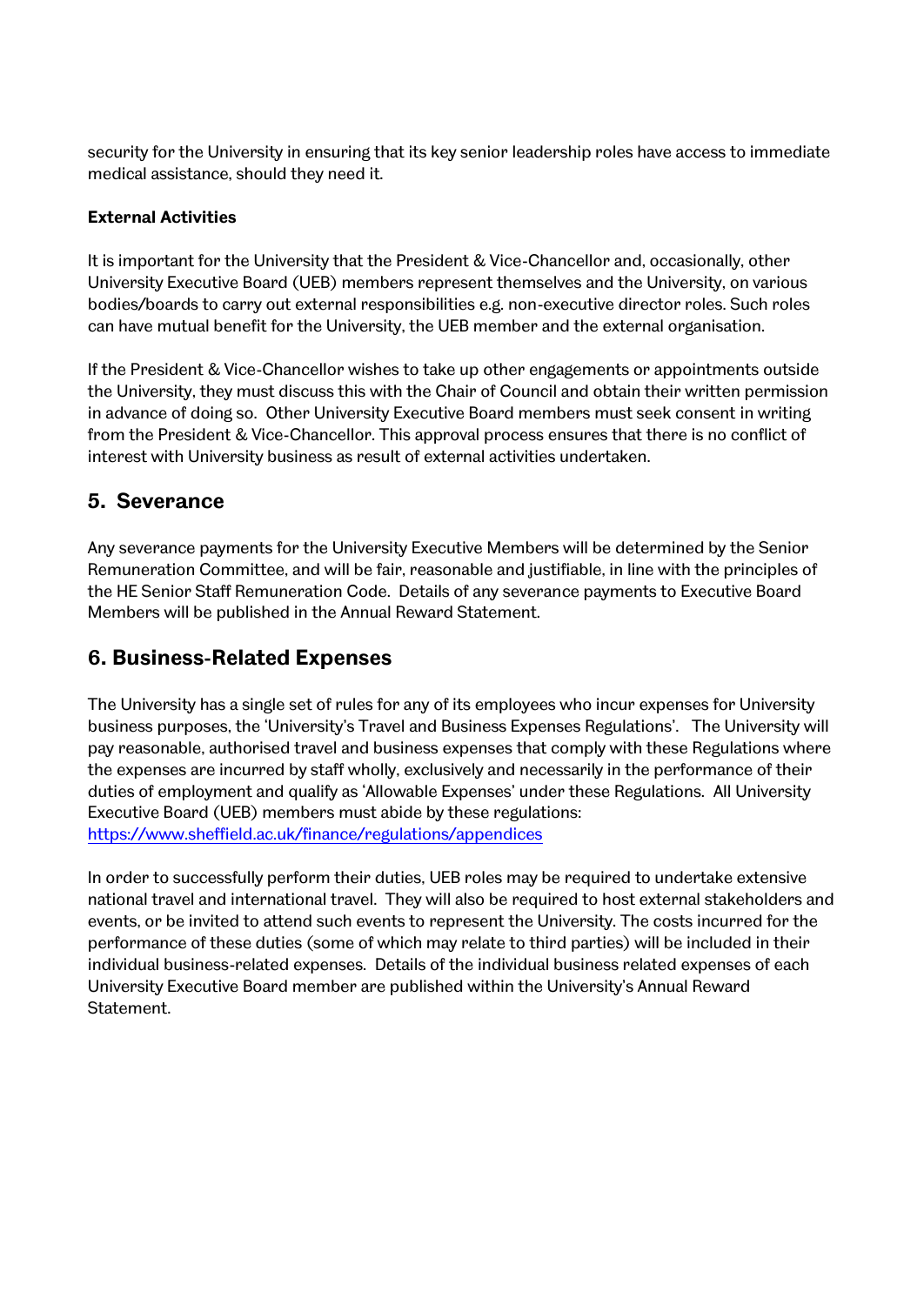security for the University in ensuring that its key senior leadership roles have access to immediate medical assistance, should they need it.

#### **External Activities**

It is important for the University that the President & Vice-Chancellor and, occasionally, other University Executive Board (UEB) members represent themselves and the University, on various bodies/boards to carry out external responsibilities e.g. non-executive director roles. Such roles can have mutual benefit for the University, the UEB member and the external organisation.

If the President & Vice-Chancellor wishes to take up other engagements or appointments outside the University, they must discuss this with the Chair of Council and obtain their written permission in advance of doing so. Other University Executive Board members must seek consent in writing from the President & Vice-Chancellor. This approval process ensures that there is no conflict of interest with University business as result of external activities undertaken.

## **5. Severance**

Any severance payments for the University Executive Members will be determined by the Senior Remuneration Committee, and will be fair, reasonable and justifiable, in line with the principles of the HE Senior Staff Remuneration Code. Details of any severance payments to Executive Board Members will be published in the Annual Reward Statement.

## **6. Business-Related Expenses**

The University has a single set of rules for any of its employees who incur expenses for University business purposes, the 'University's Travel and Business Expenses Regulations'. The University will pay reasonable, authorised travel and business expenses that comply with these Regulations where the expenses are incurred by staff wholly, exclusively and necessarily in the performance of their duties of employment and qualify as 'Allowable Expenses' under these Regulations. All University Executive Board (UEB) members must abide by these regulations: <https://www.sheffield.ac.uk/finance/regulations/appendices>

In order to successfully perform their duties, UEB roles may be required to undertake extensive national travel and international travel. They will also be required to host external stakeholders and events, or be invited to attend such events to represent the University. The costs incurred for the performance of these duties (some of which may relate to third parties) will be included in their individual business-related expenses. Details of the individual business related expenses of each University Executive Board member are published within the University's Annual Reward Statement.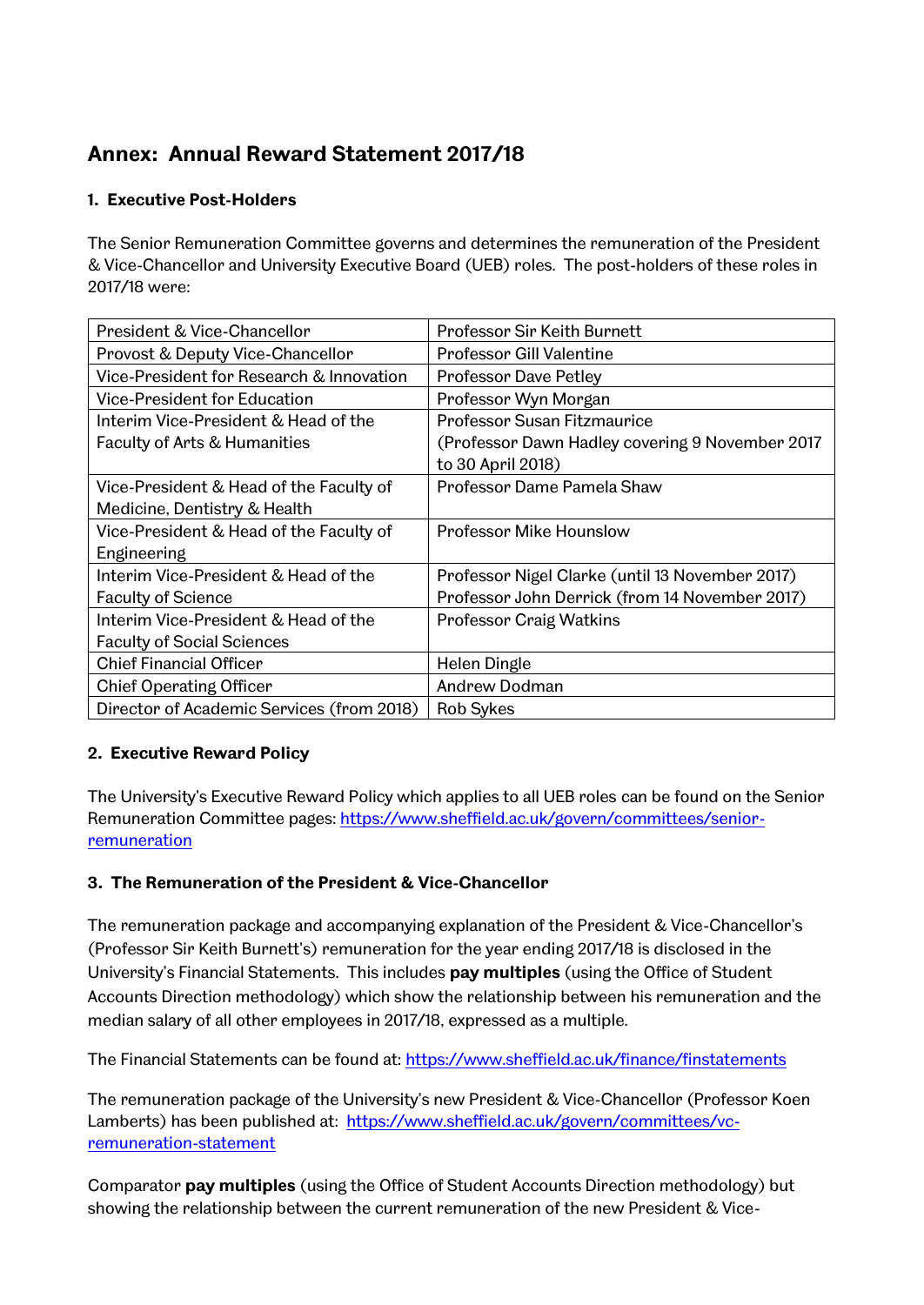## **Annex: Annual Reward Statement 2017/18**

### **1. Executive Post-Holders**

The Senior Remuneration Committee governs and determines the remuneration of the President & Vice-Chancellor and University Executive Board (UEB) roles. The post-holders of these roles in 2017/18 were:

| President & Vice-Chancellor               | Professor Sir Keith Burnett                     |
|-------------------------------------------|-------------------------------------------------|
| Provost & Deputy Vice-Chancellor          | <b>Professor Gill Valentine</b>                 |
| Vice-President for Research & Innovation  | <b>Professor Dave Petley</b>                    |
| <b>Vice-President for Education</b>       | Professor Wyn Morgan                            |
| Interim Vice-President & Head of the      | <b>Professor Susan Fitzmaurice</b>              |
| <b>Faculty of Arts &amp; Humanities</b>   | (Professor Dawn Hadley covering 9 November 2017 |
|                                           | to 30 April 2018)                               |
| Vice-President & Head of the Faculty of   | Professor Dame Pamela Shaw                      |
| Medicine, Dentistry & Health              |                                                 |
| Vice-President & Head of the Faculty of   | <b>Professor Mike Hounslow</b>                  |
| Engineering                               |                                                 |
| Interim Vice-President & Head of the      | Professor Nigel Clarke (until 13 November 2017) |
| <b>Faculty of Science</b>                 | Professor John Derrick (from 14 November 2017)  |
| Interim Vice-President & Head of the      | <b>Professor Craig Watkins</b>                  |
| <b>Faculty of Social Sciences</b>         |                                                 |
| <b>Chief Financial Officer</b>            | <b>Helen Dingle</b>                             |
| <b>Chief Operating Officer</b>            | Andrew Dodman                                   |
| Director of Academic Services (from 2018) | <b>Rob Sykes</b>                                |

### **2. Executive Reward Policy**

The University's Executive Reward Policy which applies to all UEB roles can be found on the Senior Remuneration Committee pages: [https://www.sheffield.ac.uk/govern/committees/senior](https://www.sheffield.ac.uk/govern/committees/senior-remuneration)[remuneration](https://www.sheffield.ac.uk/govern/committees/senior-remuneration)

### **3. The Remuneration of the President & Vice-Chancellor**

The remuneration package and accompanying explanation of the President & Vice-Chancellor's (Professor Sir Keith Burnett's) remuneration for the year ending 2017/18 is disclosed in the University's Financial Statements. This includes **pay multiples** (using the Office of Student Accounts Direction methodology) which show the relationship between his remuneration and the median salary of all other employees in 2017/18, expressed as a multiple.

The Financial Statements can be found at:<https://www.sheffield.ac.uk/finance/finstatements>

The remuneration package of the University's new President & Vice-Chancellor (Professor Koen Lamberts) has been published at: [https://www.sheffield.ac.uk/govern/committees/vc](https://www.sheffield.ac.uk/govern/committees/vc-remuneration-statement)[remuneration-statement](https://www.sheffield.ac.uk/govern/committees/vc-remuneration-statement) 

Comparator **pay multiples** (using the Office of Student Accounts Direction methodology) but showing the relationship between the current remuneration of the new President & Vice-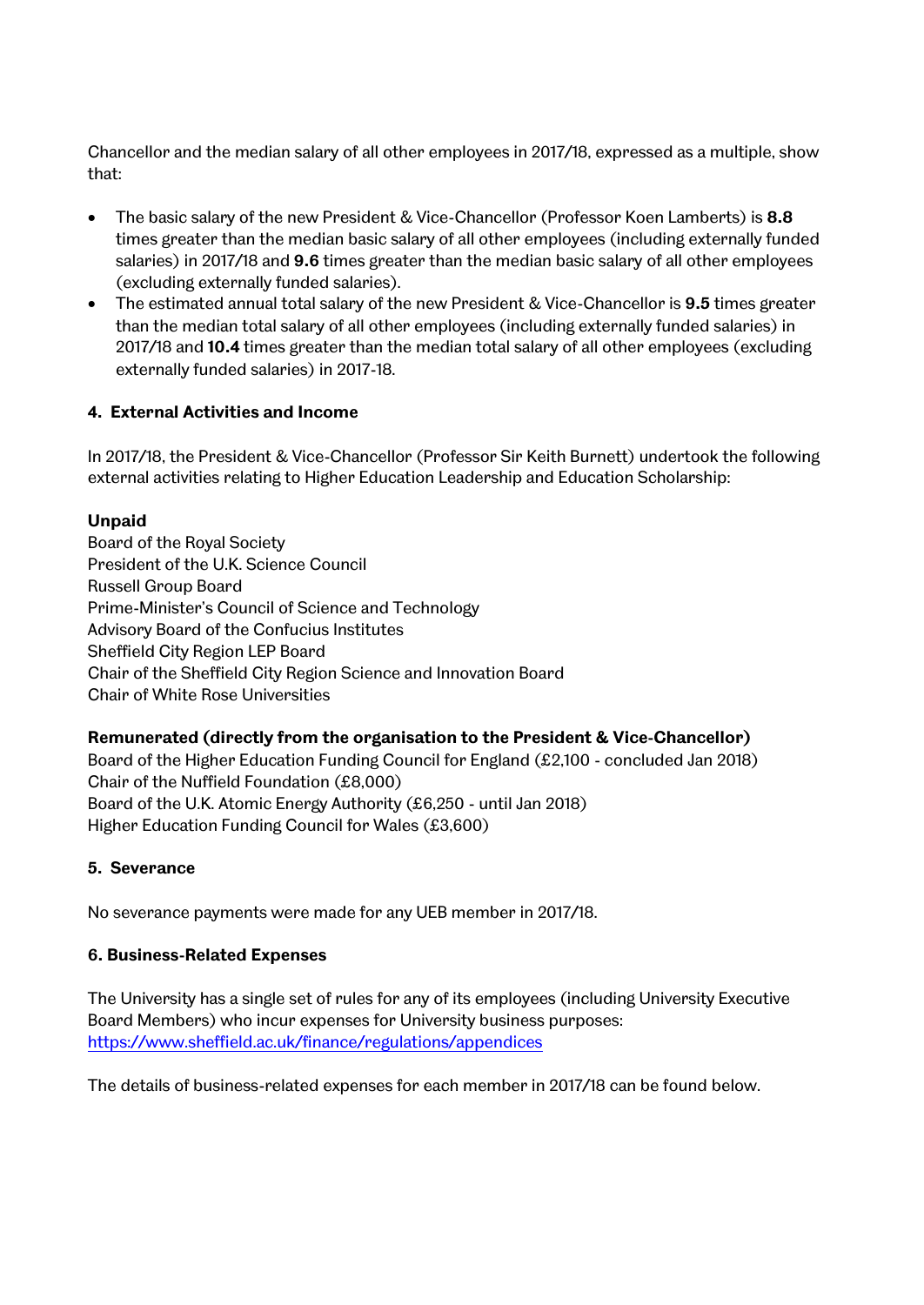Chancellor and the median salary of all other employees in 2017/18, expressed as a multiple, show that:

- The basic salary of the new President & Vice-Chancellor (Professor Koen Lamberts) is **8.8** times greater than the median basic salary of all other employees (including externally funded salaries) in 2017/18 and **9.6** times greater than the median basic salary of all other employees (excluding externally funded salaries).
- The estimated annual total salary of the new President & Vice-Chancellor is **9.5** times greater than the median total salary of all other employees (including externally funded salaries) in 2017/18 and **10.4** times greater than the median total salary of all other employees (excluding externally funded salaries) in 2017-18.

### **4. External Activities and Income**

In 2017/18, the President & Vice-Chancellor (Professor Sir Keith Burnett) undertook the following external activities relating to Higher Education Leadership and Education Scholarship:

#### **Unpaid**

Board of the Royal Society President of the U.K. Science Council Russell Group Board Prime-Minister's Council of Science and Technology Advisory Board of the Confucius Institutes Sheffield City Region LEP Board Chair of the Sheffield City Region Science and Innovation Board Chair of White Rose Universities

### **Remunerated (directly from the organisation to the President & Vice-Chancellor)**

Board of the Higher Education Funding Council for England (£2,100 - concluded Jan 2018) Chair of the Nuffield Foundation (£8,000) Board of the U.K. Atomic Energy Authority (£6,250 - until Jan 2018) Higher Education Funding Council for Wales (£3,600)

#### **5. Severance**

No severance payments were made for any UEB member in 2017/18.

#### **6. Business-Related Expenses**

The University has a single set of rules for any of its employees (including University Executive Board Members) who incur expenses for University business purposes: <https://www.sheffield.ac.uk/finance/regulations/appendices>

The details of business-related expenses for each member in 2017/18 can be found below.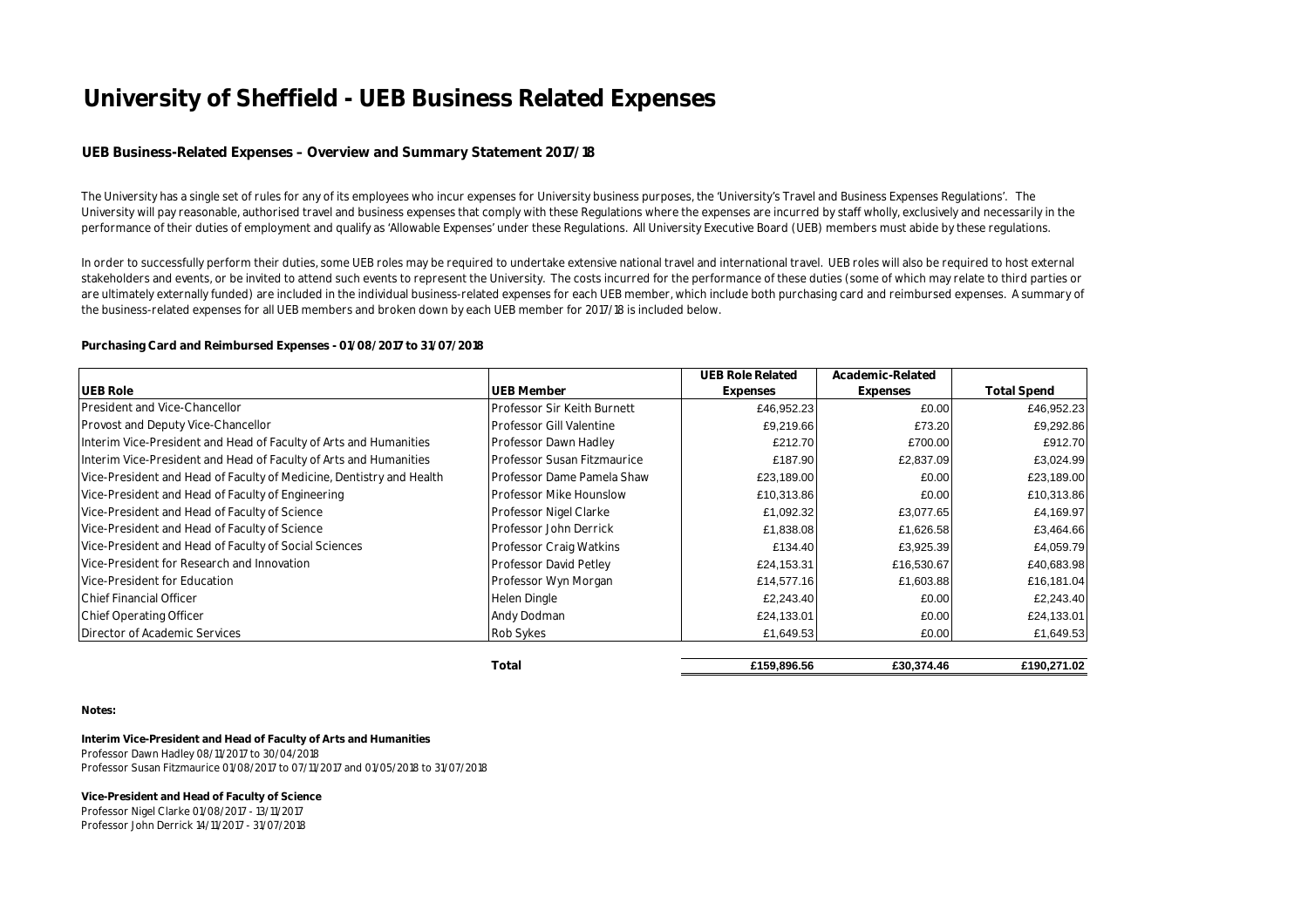#### **UEB Business-Related Expenses – Overview and Summary Statement 2017/18**

The University has a single set of rules for any of its employees who incur expenses for University business purposes, the 'University's Travel and Business Expenses Regulations'. The University will pay reasonable, authorised travel and business expenses that comply with these Regulations where the expenses are incurred by staff wholly, exclusively and necessarily in the performance of their duties of employment and qualify as 'Allowable Expenses' under these Regulations. All University Executive Board (UEB) members must abide by these regulations.

In order to successfully perform their duties, some UEB roles may be required to undertake extensive national travel and international travel. UEB roles will also be required to host external stakeholders and events, or be invited to attend such events to represent the University. The costs incurred for the performance of these duties (some of which may relate to third parties or are ultimately externally funded) are included in the individual business-related expenses for each UEB member, which include both purchasing card and reimbursed expenses. A summary of the business-related expenses for all UEB members and broken down by each UEB member for 2017/18 is included below.

#### **Purchasing Card and Reimbursed Expenses - 01/08/2017 to 31/07/2018**

|                                                                      |                                    | <b>UEB Role Related</b> | Academic-Related |                    |
|----------------------------------------------------------------------|------------------------------------|-------------------------|------------------|--------------------|
| <b>UEB Role</b>                                                      | <b>UEB Member</b>                  | Expenses                | Expenses         | <b>Total Spend</b> |
| President and Vice-Chancellor                                        | Professor Sir Keith Burnett        | £46,952.23              | £0.00            | £46,952.23         |
| Provost and Deputy Vice-Chancellor                                   | <b>Professor Gill Valentine</b>    | £9,219.66               | £73.20           | £9,292.86          |
| Interim Vice-President and Head of Faculty of Arts and Humanities    | Professor Dawn Hadley              | £212.70                 | £700.00          | £912.70            |
| Interim Vice-President and Head of Faculty of Arts and Humanities    | <b>Professor Susan Fitzmaurice</b> | £187.90                 | £2,837.09        | £3,024.99          |
| Vice-President and Head of Faculty of Medicine, Dentistry and Health | Professor Dame Pamela Shaw         | £23,189.00              | £0.00            | £23,189.00         |
| Vice-President and Head of Faculty of Engineering                    | Professor Mike Hounslow            | £10,313.86              | £0.00            | £10,313.86         |
| Vice-President and Head of Faculty of Science                        | Professor Nigel Clarke             | £1,092.32               | £3,077.65        | £4,169.97          |
| Vice-President and Head of Faculty of Science                        | Professor John Derrick             | £1,838.08               | £1,626.58        | £3,464.66          |
| Vice-President and Head of Faculty of Social Sciences                | Professor Craig Watkins            | £134.40                 | £3,925.39        | £4,059.79          |
| Vice-President for Research and Innovation                           | Professor David Petley             | £24,153.31              | £16,530.67       | £40,683.98         |
| Vice-President for Education                                         | Professor Wyn Morgan               | £14,577.16              | £1,603.88        | £16,181.04         |
| <b>IChief Financial Officer</b>                                      | Helen Dingle                       | £2,243.40               | £0.00            | £2,243.40          |
| Chief Operating Officer                                              | Andy Dodman                        | £24,133.01              | £0.00            | £24,133.01         |
| Director of Academic Services                                        | <b>Rob Sykes</b>                   | £1,649.53               | £0.00            | £1,649.53          |
|                                                                      | Total                              | £159,896.56             | £30,374.46       | £190,271.02        |

**Notes:**

**Interim Vice-President and Head of Faculty of Arts and Humanities**  Professor Dawn Hadley 08/11/2017 to 30/04/2018 Professor Susan Fitzmaurice 01/08/2017 to 07/11/2017 and 01/05/2018 to 31/07/2018

**Vice-President and Head of Faculty of Science** Professor Nigel Clarke 01/08/2017 - 13/11/2017 Professor John Derrick 14/11/2017 - 31/07/2018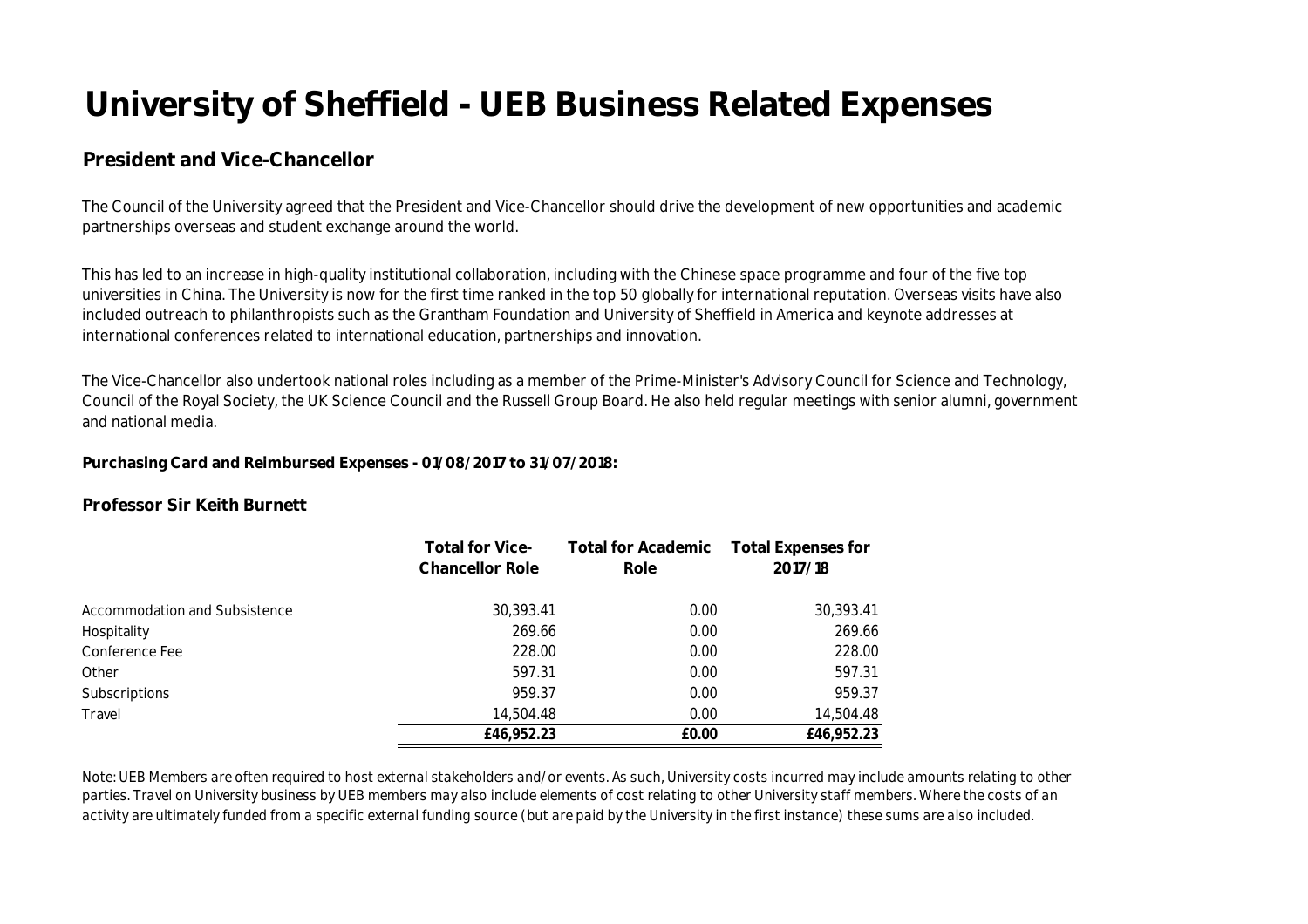## **President and Vice-Chancellor**

The Council of the University agreed that the President and Vice-Chancellor should drive the development of new opportunities and academic partnerships overseas and student exchange around the world.

This has led to an increase in high-quality institutional collaboration, including with the Chinese space programme and four of the five top universities in China. The University is now for the first time ranked in the top 50 globally for international reputation. Overseas visits have also included outreach to philanthropists such as the Grantham Foundation and University of Sheffield in America and keynote addresses at international conferences related to international education, partnerships and innovation.

The Vice-Chancellor also undertook national roles including as a member of the Prime-Minister's Advisory Council for Science and Technology, Council of the Royal Society, the UK Science Council and the Russell Group Board. He also held regular meetings with senior alumni, government and national media.

**Purchasing Card and Reimbursed Expenses - 01/08/2017 to 31/07/2018:** 

#### **Professor Sir Keith Burnett**

|                               | <b>Total for Vice-</b><br><b>Chancellor Role</b> | Total for Academic Total Expenses for<br>Role | 2017/18    |
|-------------------------------|--------------------------------------------------|-----------------------------------------------|------------|
| Accommodation and Subsistence | 30,393.41                                        | 0.00                                          | 30,393.41  |
| Hospitality                   | 269.66                                           | 0.00                                          | 269.66     |
| Conference Fee                | 228.00                                           | 0.00                                          | 228.00     |
| Other                         | 597.31                                           | 0.00                                          | 597.31     |
| Subscriptions                 | 959.37                                           | 0.00                                          | 959.37     |
| Travel                        | 14,504.48                                        | 0.00                                          | 14,504.48  |
|                               | £46,952.23                                       | £0.00                                         | £46,952.23 |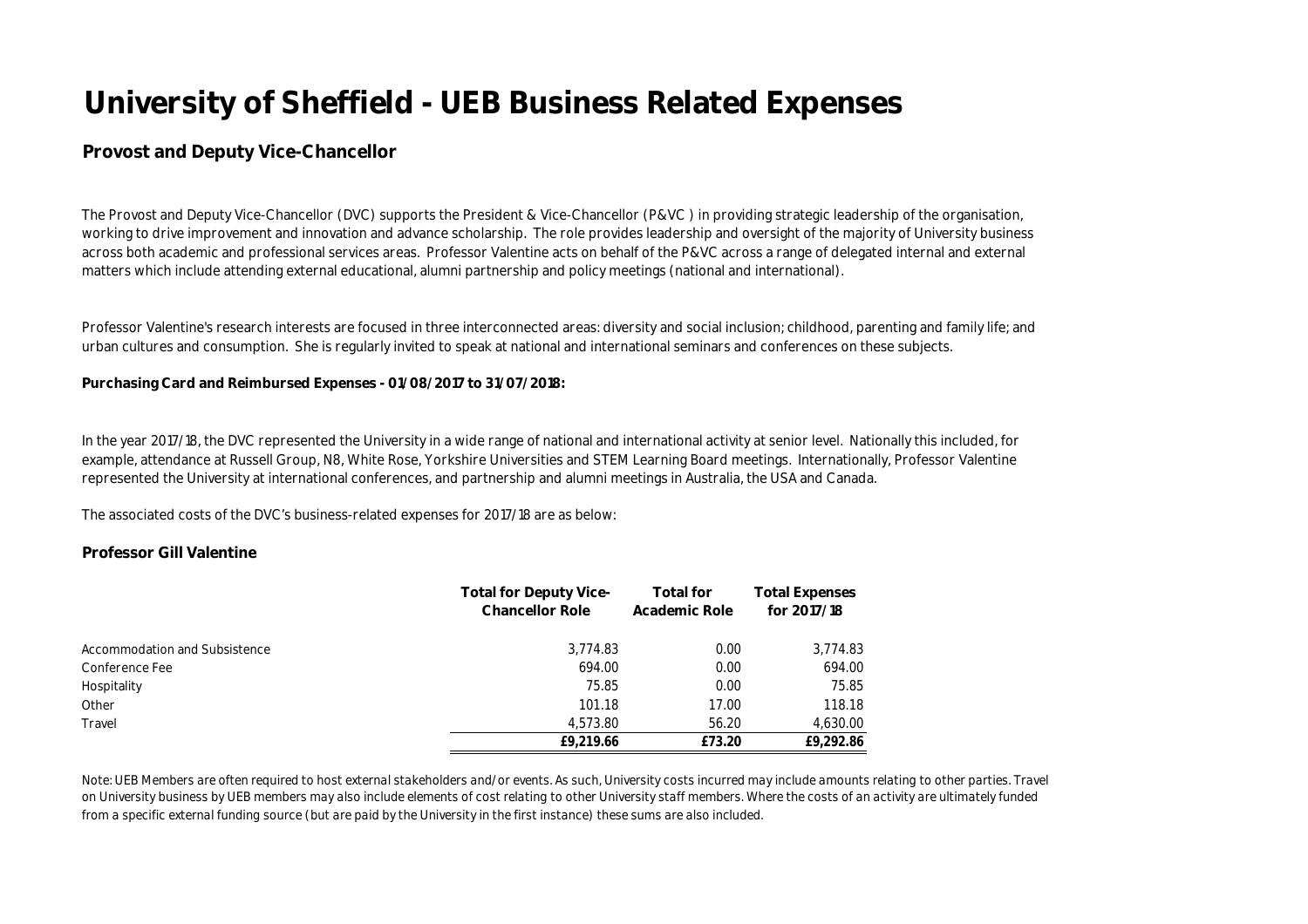#### **Provost and Deputy Vice-Chancellor**

The Provost and Deputy Vice-Chancellor (DVC) supports the President & Vice-Chancellor (P&VC ) in providing strategic leadership of the organisation, working to drive improvement and innovation and advance scholarship. The role provides leadership and oversight of the majority of University business across both academic and professional services areas. Professor Valentine acts on behalf of the P&VC across a range of delegated internal and external matters which include attending external educational, alumni partnership and policy meetings (national and international).

Professor Valentine's research interests are focused in three interconnected areas: diversity and social inclusion; childhood, parenting and family life; and urban cultures and consumption. She is regularly invited to speak at national and international seminars and conferences on these subjects.

**Purchasing Card and Reimbursed Expenses - 01/08/2017 to 31/07/2018:** 

In the year 2017/18, the DVC represented the University in a wide range of national and international activity at senior level. Nationally this included, for example, attendance at Russell Group, N8, White Rose, Yorkshire Universities and STEM Learning Board meetings. Internationally, Professor Valentine represented the University at international conferences, and partnership and alumni meetings in Australia, the USA and Canada.

The associated costs of the DVC's business-related expenses for 2017/18 are as below:

#### **Professor Gill Valentine**

|                               | <b>Total for Deputy Vice-</b><br><b>Chancellor Role</b> | <b>Total for</b><br>Academic Role | <b>Total Expenses</b><br>for 2017/18 |
|-------------------------------|---------------------------------------------------------|-----------------------------------|--------------------------------------|
| Accommodation and Subsistence | 3,774.83                                                | 0.00                              | 3,774.83                             |
| Conference Fee                | 694.00                                                  | 0.00                              | 694.00                               |
| Hospitality                   | 75.85                                                   | 0.00                              | 75.85                                |
| Other                         | 101.18                                                  | 17.00                             | 118.18                               |
| Travel                        | 4,573.80                                                | 56.20                             | 4,630.00                             |
|                               | £9,219.66                                               | £73.20                            | £9,292.86                            |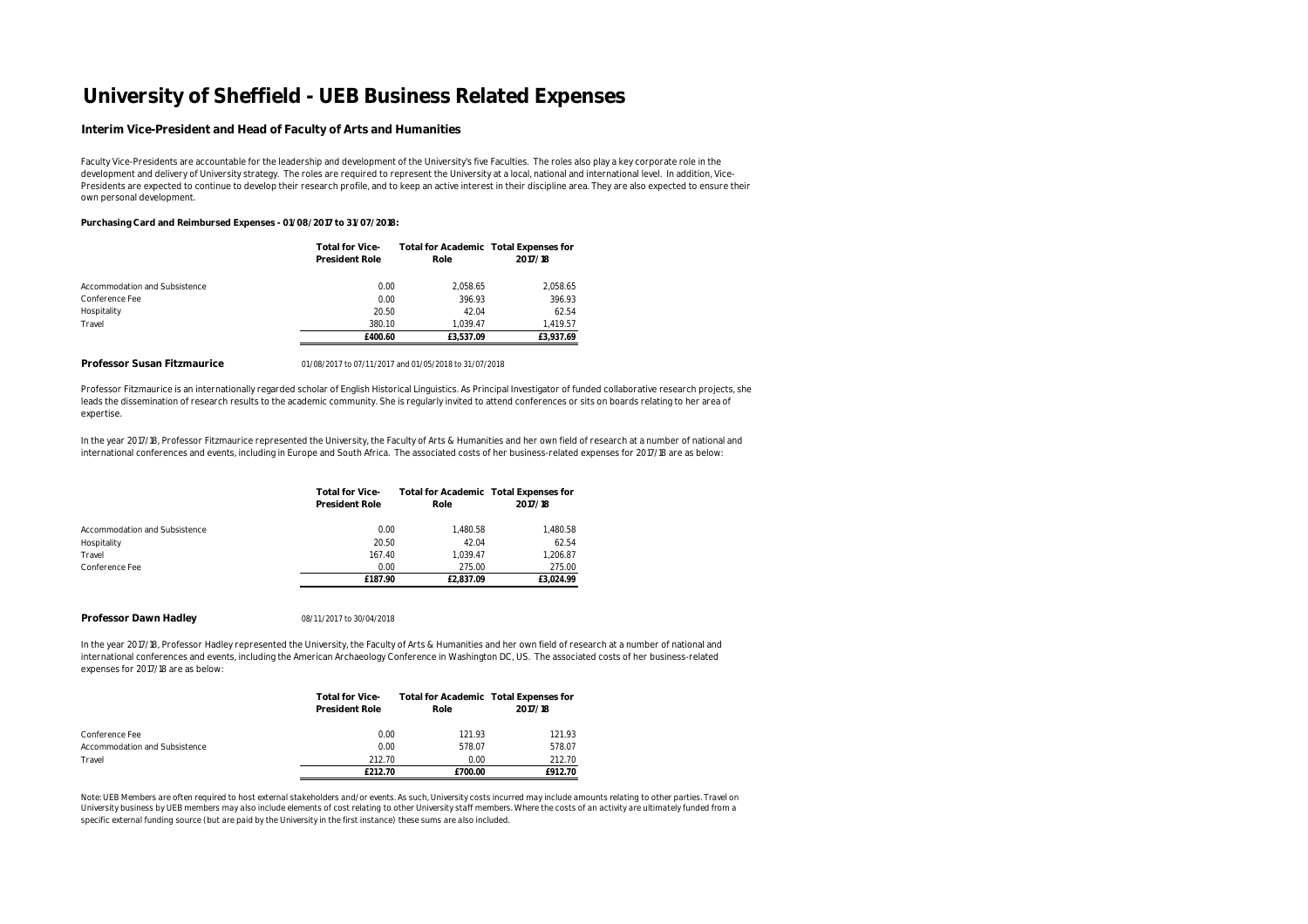#### **Interim Vice-President and Head of Faculty of Arts and Humanities**

Faculty Vice-Presidents are accountable for the leadership and development of the University's five Faculties. The roles also play a key corporate role in the development and delivery of University strategy. The roles are required to represent the University at a local, national and international level. In addition, Vice-Presidents are expected to continue to develop their research profile, and to keep an active interest in their discipline area. They are also expected to ensure their own personal development.

#### **Purchasing Card and Reimbursed Expenses - 01/08/2017 to 31/07/2018:**

|                               | <b>Total for Vice-</b> | Total for Academic Total Expenses for |           |
|-------------------------------|------------------------|---------------------------------------|-----------|
|                               | <b>President Role</b>  | Role                                  | 2017/18   |
| Accommodation and Subsistence | 0.00                   | 2.058.65                              | 2.058.65  |
| Conference Fee                | 0.00                   | 396.93                                | 396.93    |
| Hospitality                   | 20.50                  | 42.04                                 | 62.54     |
| Travel                        | 380.10                 | 1.039.47                              | 1.419.57  |
|                               | £400.60                | £3.537.09                             | £3.937.69 |

#### **Professor Susan Fitzmaurice** 01/08/2017 to 07/11/2017 and 01/05/2018 to 31/07/2018

Professor Fitzmaurice is an internationally regarded scholar of English Historical Linguistics. As Principal Investigator of funded collaborative research projects, she leads the dissemination of research results to the academic community. She is regularly invited to attend conferences or sits on boards relating to her area of expertise.

In the year 2017/18, Professor Fitzmaurice represented the University, the Faculty of Arts & Humanities and her own field of research at a number of national and international conferences and events, including in Europe and South Africa. The associated costs of her business-related expenses for 2017/18 are as below:

|                               | <b>Total for Vice-</b><br><b>President Role</b> | Total for Academic Total Expenses for<br>Role | 2017/18   |
|-------------------------------|-------------------------------------------------|-----------------------------------------------|-----------|
| Accommodation and Subsistence | 0.00                                            | 1.480.58                                      | 1.480.58  |
| Hospitality                   | 20.50                                           | 42.04                                         | 62.54     |
| Travel                        | 167.40                                          | 1.039.47                                      | 1.206.87  |
| Conference Fee                | 0.00                                            | 275.00                                        | 275.00    |
|                               | £187.90                                         | £2.837.09                                     | £3.024.99 |

#### **Professor Dawn Hadley** 08/11/2017 to 30/04/2018

In the year 2017/18, Professor Hadley represented the University, the Faculty of Arts & Humanities and her own field of research at a number of national and international conferences and events, including the American Archaeology Conference in Washington DC, US. The associated costs of her business-related expenses for 2017/18 are as below:

|                               | <b>Total for Vice-</b><br><b>President Role</b> | Total for Academic Total Expenses for<br>Role | 2017/18 |
|-------------------------------|-------------------------------------------------|-----------------------------------------------|---------|
| Conference Fee                | 0.00                                            | 121.93                                        | 121.93  |
| Accommodation and Subsistence | 0.00                                            | 578.07                                        | 578.07  |
| Travel                        | 212.70                                          | 0.00                                          | 212.70  |
|                               | £212.70                                         | £700.00                                       | £912.70 |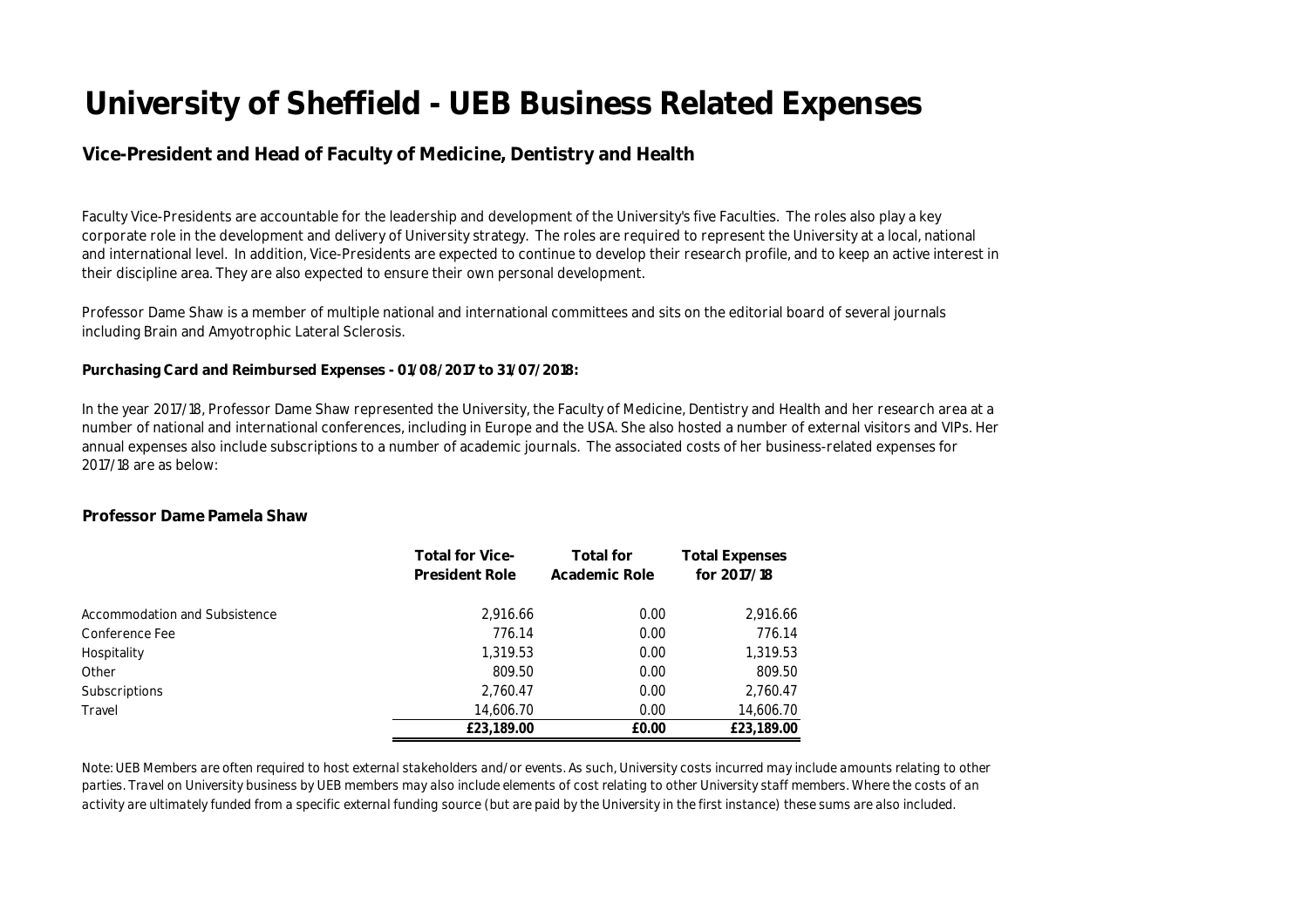## **Vice-President and Head of Faculty of Medicine, Dentistry and Health**

Faculty Vice-Presidents are accountable for the leadership and development of the University's five Faculties. The roles also play a key corporate role in the development and delivery of University strategy. The roles are required to represent the University at a local, national and international level. In addition, Vice-Presidents are expected to continue to develop their research profile, and to keep an active interest in their discipline area. They are also expected to ensure their own personal development.

Professor Dame Shaw is a member of multiple national and international committees and sits on the editorial board of several journals including Brain and Amyotrophic Lateral Sclerosis.

**Purchasing Card and Reimbursed Expenses - 01/08/2017 to 31/07/2018:** 

In the year 2017/18, Professor Dame Shaw represented the University, the Faculty of Medicine, Dentistry and Health and her research area at a number of national and international conferences, including in Europe and the USA. She also hosted a number of external visitors and VIPs. Her annual expenses also include subscriptions to a number of academic journals. The associated costs of her business-related expenses for 2017/18 are as below:

#### **Professor Dame Pamela Shaw**

|                               | <b>Total for Vice-</b><br><b>President Role</b> | <b>Total for</b><br>Academic Role | <b>Total Expenses</b><br>for 2017/18 |
|-------------------------------|-------------------------------------------------|-----------------------------------|--------------------------------------|
| Accommodation and Subsistence | 2,916.66                                        | 0.00                              | 2,916.66                             |
| Conference Fee                | 776.14                                          | 0.00                              | 776.14                               |
| Hospitality                   | 1,319.53                                        | 0.00                              | 1,319.53                             |
| Other                         | 809.50                                          | 0.00                              | 809.50                               |
| <b>Subscriptions</b>          | 2,760.47                                        | 0.00                              | 2,760.47                             |
| Travel                        | 14,606.70                                       | 0.00                              | 14,606.70                            |
|                               | £23,189.00                                      | £0.00                             | £23,189.00                           |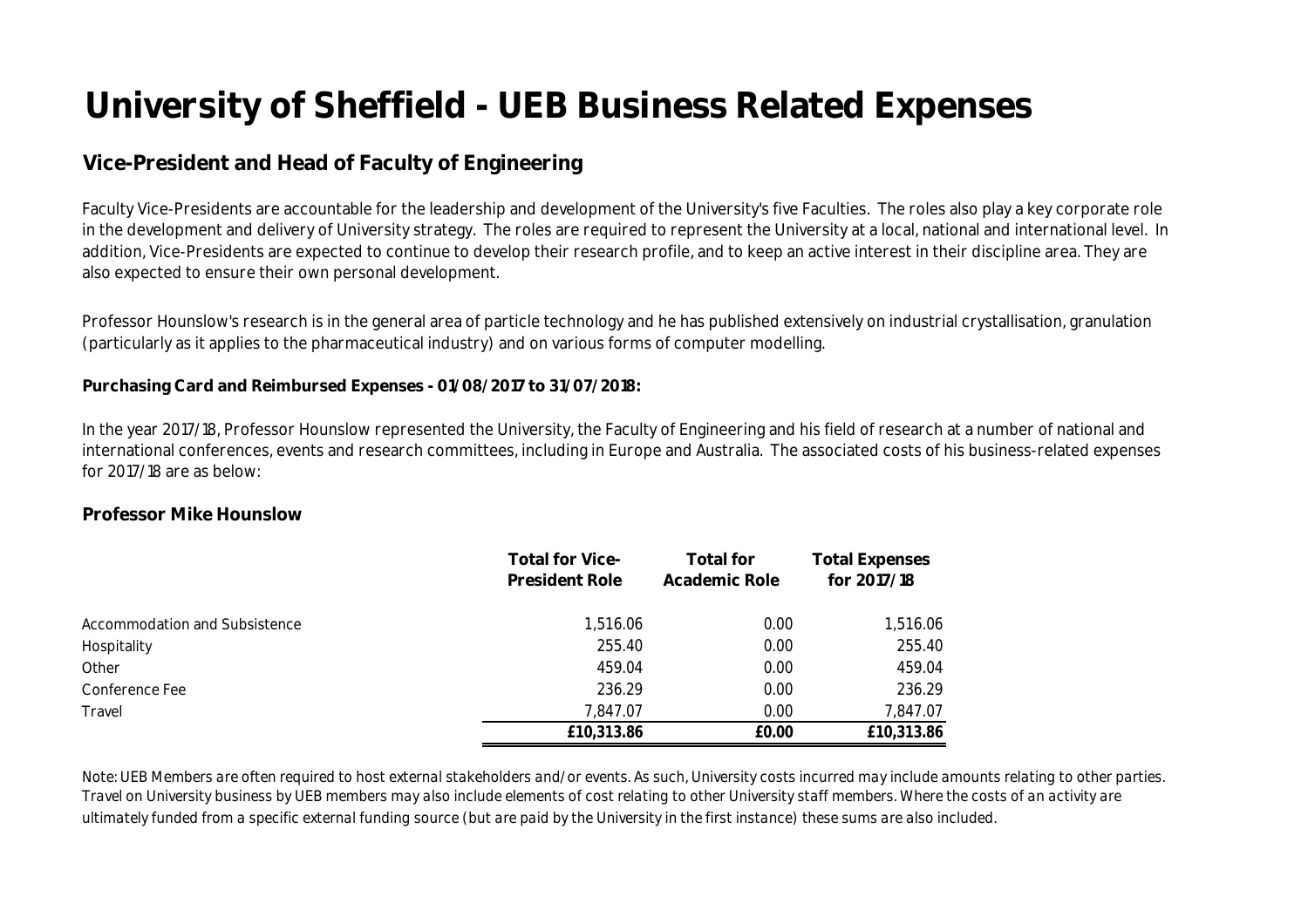## **Vice-President and Head of Faculty of Engineering**

Faculty Vice-Presidents are accountable for the leadership and development of the University's five Faculties. The roles also play a key corporate role in the development and delivery of University strategy. The roles are required to represent the University at a local, national and international level. In addition, Vice-Presidents are expected to continue to develop their research profile, and to keep an active interest in their discipline area. They are also expected to ensure their own personal development.

Professor Hounslow's research is in the general area of particle technology and he has published extensively on industrial crystallisation, granulation (particularly as it applies to the pharmaceutical industry) and on various forms of computer modelling.

#### **Purchasing Card and Reimbursed Expenses - 01/08/2017 to 31/07/2018:**

In the year 2017/18, Professor Hounslow represented the University, the Faculty of Engineering and his field of research at a number of national and international conferences, events and research committees, including in Europe and Australia. The associated costs of his business-related expenses for 2017/18 are as below:

#### **Professor Mike Hounslow**

|                               | <b>Total for Vice-</b><br><b>President Role</b> | <b>Total for</b><br>Academic Role | <b>Total Expenses</b><br>for 2017/18 |
|-------------------------------|-------------------------------------------------|-----------------------------------|--------------------------------------|
| Accommodation and Subsistence | 1,516.06                                        | 0.00                              | 1,516.06                             |
| Hospitality                   | 255.40                                          | 0.00                              | 255.40                               |
| Other                         | 459.04                                          | 0.00                              | 459.04                               |
| Conference Fee                | 236.29                                          | 0.00                              | 236.29                               |
| Travel                        | 7,847.07                                        | 0.00                              | 7,847.07                             |
|                               | £10,313.86                                      | £0.00                             | £10,313.86                           |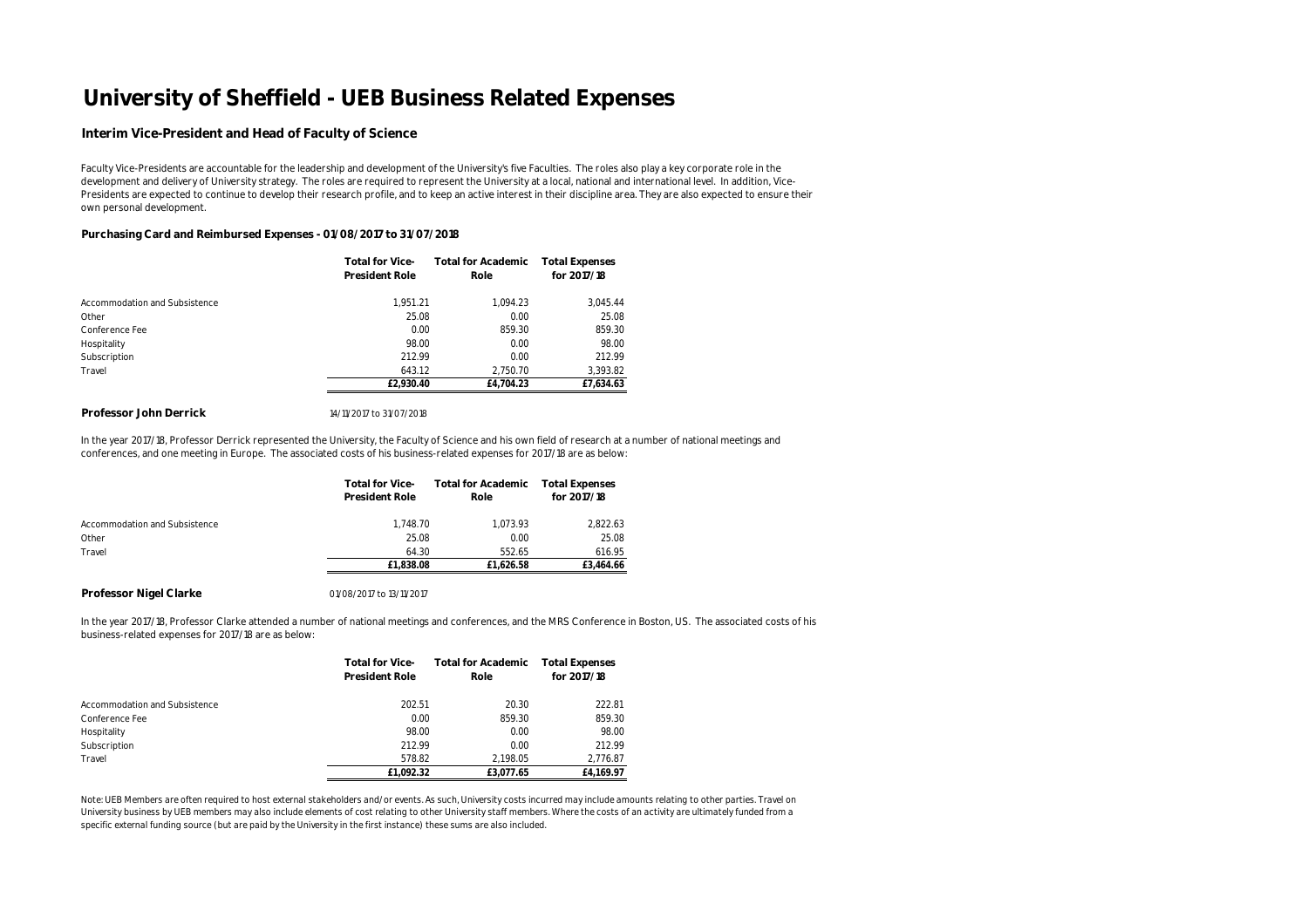#### **Interim Vice-President and Head of Faculty of Science**

Faculty Vice-Presidents are accountable for the leadership and development of the University's five Faculties. The roles also play a key corporate role in the development and delivery of University strategy. The roles are required to represent the University at a local, national and international level. In addition, Vice-Presidents are expected to continue to develop their research profile, and to keep an active interest in their discipline area. They are also expected to ensure their own personal development.

#### **Purchasing Card and Reimbursed Expenses - 01/08/2017 to 31/07/2018**

|                               | <b>Total for Vice-</b><br>President Role | <b>Total for Academic</b><br>Role | <b>Total Expenses</b><br>for 2017/18 |
|-------------------------------|------------------------------------------|-----------------------------------|--------------------------------------|
| Accommodation and Subsistence | 1.951.21                                 | 1,094.23                          | 3,045.44                             |
| Other                         | 25.08                                    | 0.00                              | 25.08                                |
| Conference Fee                | 0.00                                     | 859.30                            | 859.30                               |
| Hospitality                   | 98.00                                    | 0.00                              | 98.00                                |
| Subscription                  | 212.99                                   | 0.00                              | 212.99                               |
| Travel                        | 643.12                                   | 2.750.70                          | 3,393.82                             |
|                               | £2.930.40                                | £4.704.23                         | £7,634.63                            |

#### **Professor John Derrick**  14/11/2017 to 31/07/2018

In the year 2017/18, Professor Derrick represented the University, the Faculty of Science and his own field of research at a number of national meetings and conferences, and one meeting in Europe. The associated costs of his business-related expenses for 2017/18 are as below:

|                               | <b>Total for Vice-</b><br><b>President Role</b> | <b>Total for Academic</b><br>Role | <b>Total Expenses</b><br>for 2017/18 |
|-------------------------------|-------------------------------------------------|-----------------------------------|--------------------------------------|
|                               |                                                 |                                   |                                      |
| Accommodation and Subsistence | 1.748.70                                        | 1.073.93                          | 2,822.63                             |
| Other                         | 25.08                                           | 0.00                              | 25.08                                |
| Travel                        | 64.30                                           | 552.65                            | 616.95                               |
|                               | £1.838.08                                       | £1.626.58                         | £3.464.66                            |

#### **Professor Nigel Clarke**

01/08/2017 to 13/11/2017

In the year 2017/18, Professor Clarke attended a number of national meetings and conferences, and the MRS Conference in Boston, US. The associated costs of his business-related expenses for 2017/18 are as below:

|                               | <b>Total for Vice-</b><br><b>President Role</b> | <b>Total for Academic</b><br>Role | <b>Total Expenses</b><br>for 2017/18 |
|-------------------------------|-------------------------------------------------|-----------------------------------|--------------------------------------|
| Accommodation and Subsistence | 202.51                                          | 20.30                             | 222.81                               |
| Conference Fee                | 0.00                                            | 859.30                            | 859.30                               |
| Hospitality                   | 98.00                                           | 0.00                              | 98.00                                |
| Subscription                  | 212.99                                          | 0.00                              | 212.99                               |
| Travel                        | 578.82                                          | 2.198.05                          | 2.776.87                             |
|                               | £1.092.32                                       | £3.077.65                         | £4.169.97                            |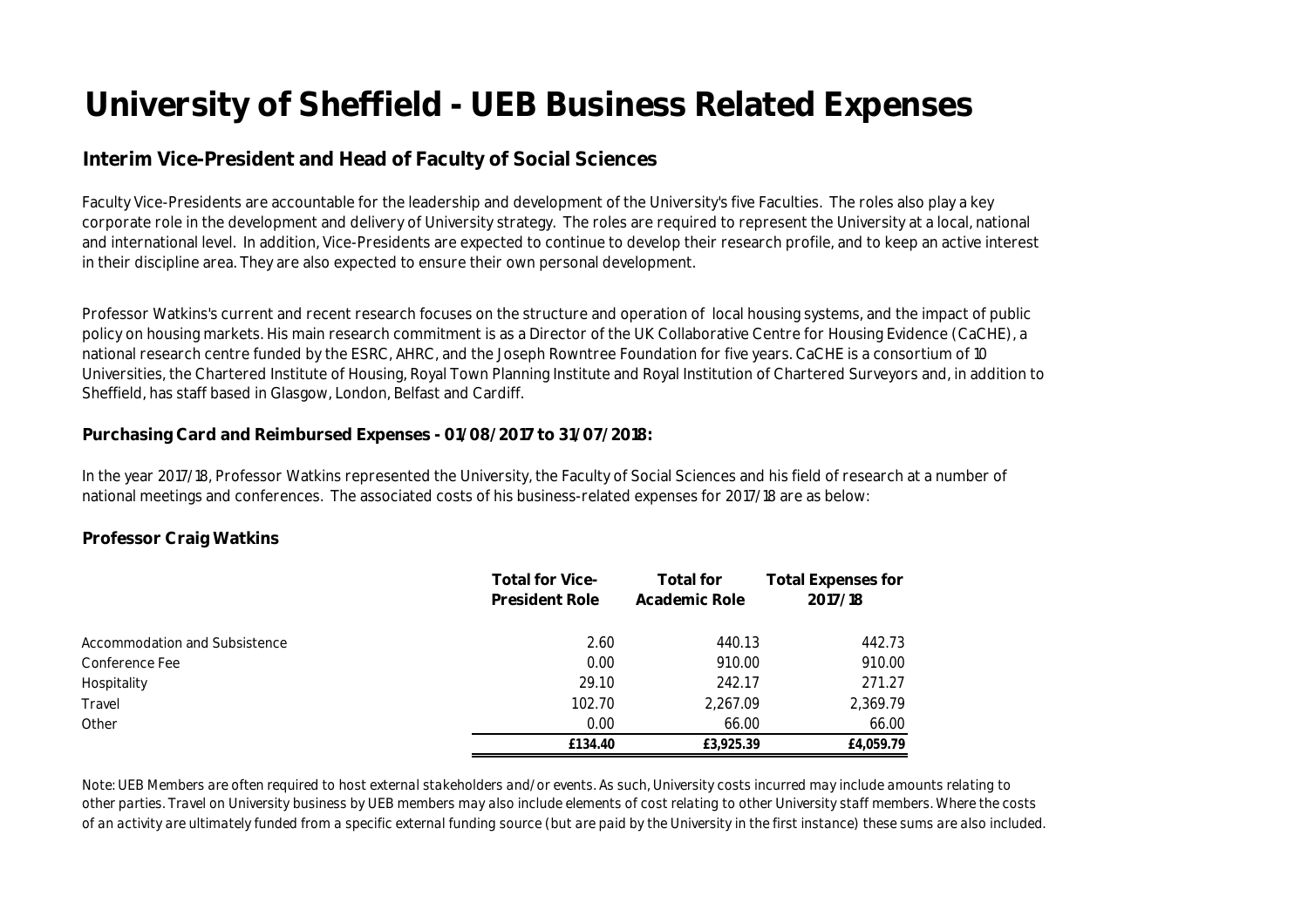## **Interim Vice-President and Head of Faculty of Social Sciences**

Faculty Vice-Presidents are accountable for the leadership and development of the University's five Faculties. The roles also play a key corporate role in the development and delivery of University strategy. The roles are required to represent the University at a local, national and international level. In addition, Vice-Presidents are expected to continue to develop their research profile, and to keep an active interest in their discipline area. They are also expected to ensure their own personal development.

Professor Watkins's current and recent research focuses on the structure and operation of local housing systems, and the impact of public policy on housing markets. His main research commitment is as a Director of the UK Collaborative Centre for Housing Evidence (CaCHE), a national research centre funded by the ESRC, AHRC, and the Joseph Rowntree Foundation for five years. CaCHE is a consortium of 10 Universities, the Chartered Institute of Housing, Royal Town Planning Institute and Royal Institution of Chartered Surveyors and, in addition to Sheffield, has staff based in Glasgow, London, Belfast and Cardiff.

#### **Purchasing Card and Reimbursed Expenses - 01/08/2017 to 31/07/2018:**

In the year 2017/18, Professor Watkins represented the University, the Faculty of Social Sciences and his field of research at a number of national meetings and conferences. The associated costs of his business-related expenses for 2017/18 are as below:

#### **Professor Craig Watkins**

|                               | <b>Total for Vice-</b><br><b>President Role</b> | <b>Total for</b><br>Academic Role | <b>Total Expenses for</b><br>2017/18 |
|-------------------------------|-------------------------------------------------|-----------------------------------|--------------------------------------|
| Accommodation and Subsistence | 2.60                                            | 440.13                            | 442.73                               |
| Conference Fee                | 0.00                                            | 910.00                            | 910.00                               |
| Hospitality                   | 29.10                                           | 242.17                            | 271.27                               |
| Travel                        | 102.70                                          | 2,267.09                          | 2,369.79                             |
| Other                         | 0.00                                            | 66.00                             | 66.00                                |
|                               | £134.40                                         | £3,925.39                         | £4,059.79                            |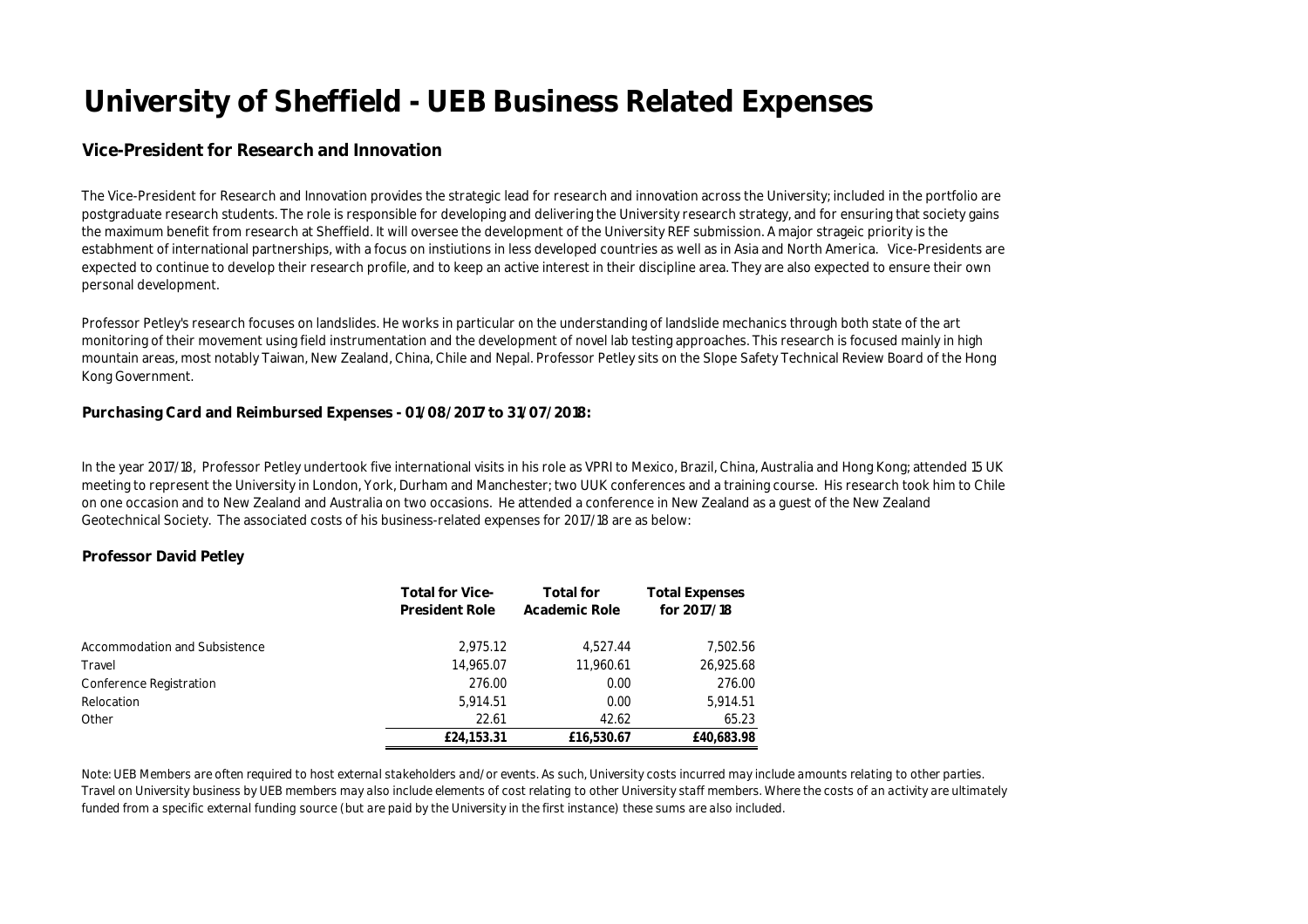#### **Vice-President for Research and Innovation**

The Vice-President for Research and Innovation provides the strategic lead for research and innovation across the University; included in the portfolio are postgraduate research students. The role is responsible for developing and delivering the University research strategy, and for ensuring that society gains the maximum benefit from research at Sheffield. It will oversee the development of the University REF submission. A major strageic priority is the estabhment of international partnerships, with a focus on instiutions in less developed countries as well as in Asia and North America. Vice-Presidents are expected to continue to develop their research profile, and to keep an active interest in their discipline area. They are also expected to ensure their own personal development.

Professor Petley's research focuses on landslides. He works in particular on the understanding of landslide mechanics through both state of the art monitoring of their movement using field instrumentation and the development of novel lab testing approaches. This research is focused mainly in high mountain areas, most notably Taiwan, New Zealand, China, Chile and Nepal. Professor Petley sits on the Slope Safety Technical Review Board of the Hong Kong Government.

#### **Purchasing Card and Reimbursed Expenses - 01/08/2017 to 31/07/2018:**

In the year 2017/18, Professor Petley undertook five international visits in his role as VPRI to Mexico, Brazil, China, Australia and Hong Kong; attended 15 UK meeting to represent the University in London, York, Durham and Manchester; two UUK conferences and a training course. His research took him to Chile on one occasion and to New Zealand and Australia on two occasions. He attended a conference in New Zealand as a guest of the New Zealand Geotechnical Society. The associated costs of his business-related expenses for 2017/18 are as below:

#### **Professor David Petley**

|                               | <b>Total for Vice-</b><br><b>President Role</b> | <b>Total for</b><br>Academic Role | <b>Total Expenses</b><br>for 2017/18 |
|-------------------------------|-------------------------------------------------|-----------------------------------|--------------------------------------|
| Accommodation and Subsistence | 2,975.12                                        | 4.527.44                          | 7,502.56                             |
| Travel                        | 14,965.07                                       | 11,960.61                         | 26,925.68                            |
| Conference Registration       | 276.00                                          | 0.00                              | 276.00                               |
| Relocation                    | 5,914.51                                        | 0.00                              | 5,914.51                             |
| Other                         | 22.61                                           | 42.62                             | 65.23                                |
|                               | £24,153.31                                      | £16,530.67                        | £40,683.98                           |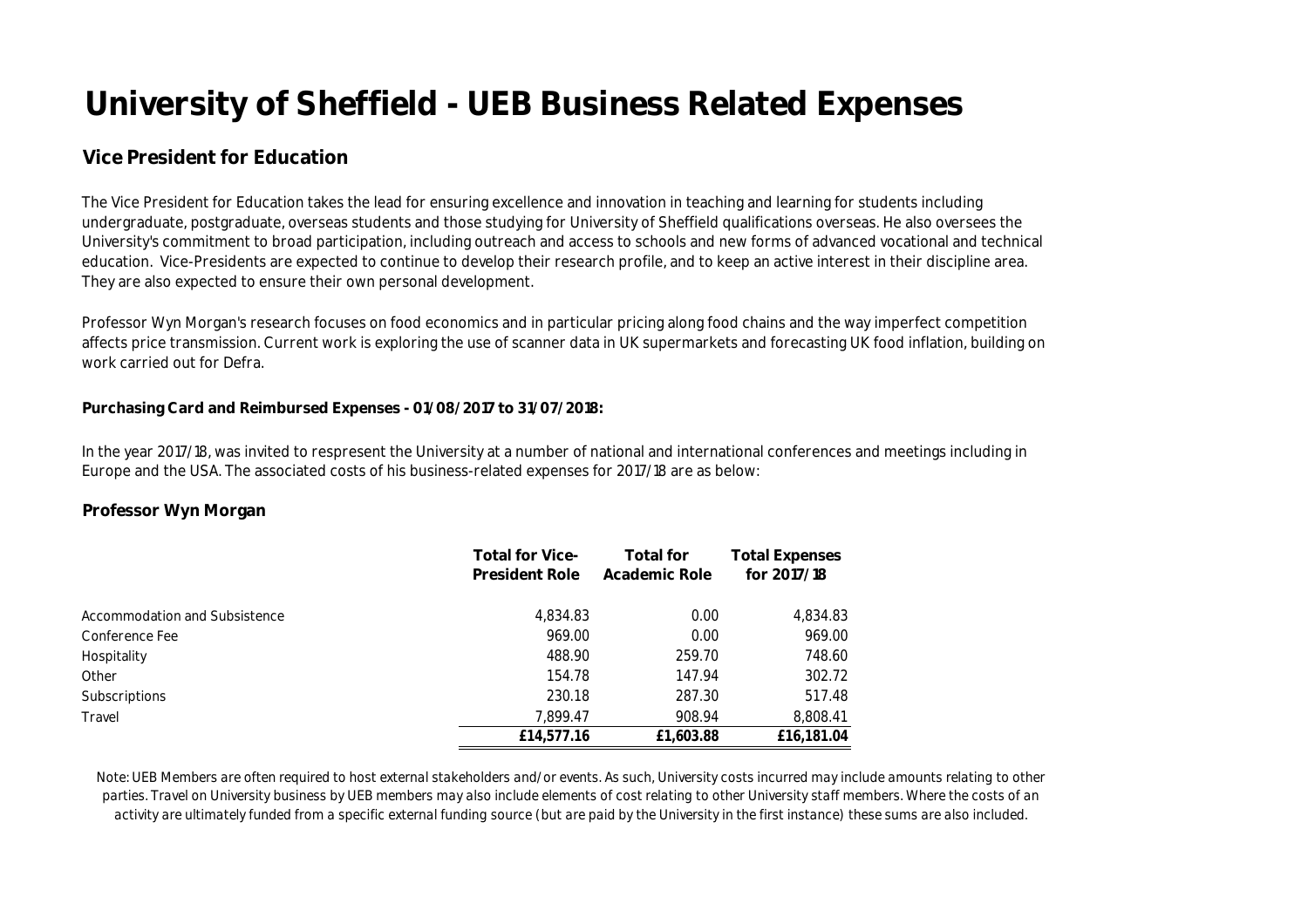## **Vice President for Education**

The Vice President for Education takes the lead for ensuring excellence and innovation in teaching and learning for students including undergraduate, postgraduate, overseas students and those studying for University of Sheffield qualifications overseas. He also oversees the University's commitment to broad participation, including outreach and access to schools and new forms of advanced vocational and technical education. Vice-Presidents are expected to continue to develop their research profile, and to keep an active interest in their discipline area. They are also expected to ensure their own personal development.

Professor Wyn Morgan's research focuses on food economics and in particular pricing along food chains and the way imperfect competition affects price transmission. Current work is exploring the use of scanner data in UK supermarkets and forecasting UK food inflation, building on work carried out for Defra.

#### **Purchasing Card and Reimbursed Expenses - 01/08/2017 to 31/07/2018:**

In the year 2017/18, was invited to respresent the University at a number of national and international conferences and meetings including in Europe and the USA. The associated costs of his business-related expenses for 2017/18 are as below:

#### **Professor Wyn Morgan**

|                               | <b>Total for Vice-</b> | <b>Total for</b> | <b>Total Expenses</b> |
|-------------------------------|------------------------|------------------|-----------------------|
|                               | <b>President Role</b>  | Academic Role    | for 2017/18           |
| Accommodation and Subsistence | 4,834.83               | 0.00             | 4,834.83              |
| Conference Fee                | 969.00                 | 0.00             | 969.00                |
| Hospitality                   | 488.90                 | 259.70           | 748.60                |
| Other                         | 154.78                 | 147.94           | 302.72                |
| <b>Subscriptions</b>          | 230.18                 | 287.30           | 517.48                |
| Travel                        | 7.899.47               | 908.94           | 8,808.41              |
|                               | £14,577.16             | £1,603.88        | £16,181.04            |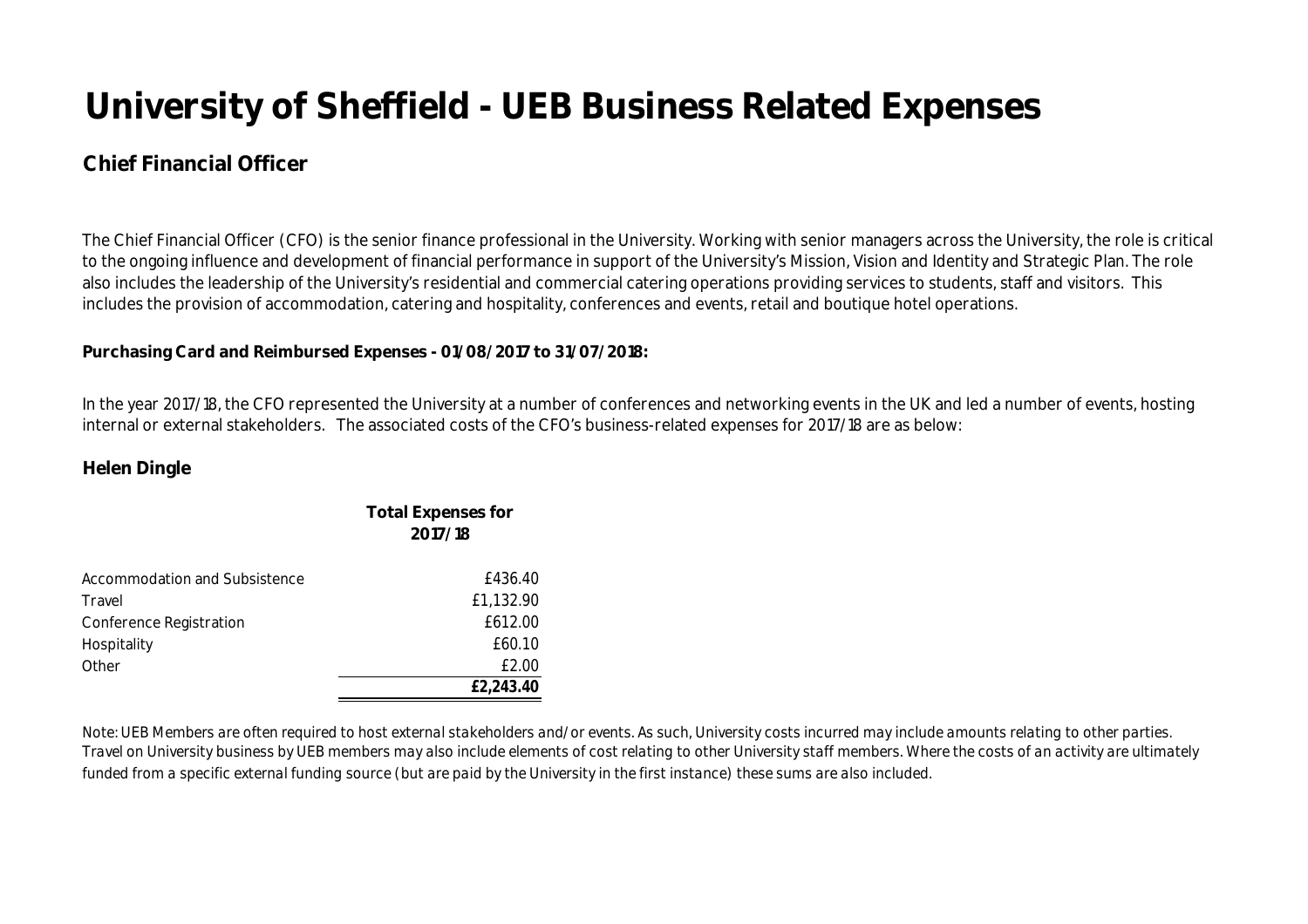## **Chief Financial Officer**

The Chief Financial Officer (CFO) is the senior finance professional in the University. Working with senior managers across the University, the role is critical to the ongoing influence and development of financial performance in support of the University's Mission, Vision and Identity and Strategic Plan. The role also includes the leadership of the University's residential and commercial catering operations providing services to students, staff and visitors. This includes the provision of accommodation, catering and hospitality, conferences and events, retail and boutique hotel operations.

### **Purchasing Card and Reimbursed Expenses - 01/08/2017 to 31/07/2018:**

In the year 2017/18, the CFO represented the University at a number of conferences and networking events in the UK and led a number of events, hosting internal or external stakeholders. The associated costs of the CFO's business-related expenses for 2017/18 are as below:

### **Helen Dingle**

|                               | <b>Total Expenses for</b><br>2017/18 |
|-------------------------------|--------------------------------------|
| Accommodation and Subsistence | £436.40                              |
| Travel                        | £1,132.90                            |
| Conference Registration       | £612.00                              |
| Hospitality                   | £60.10                               |
| Other                         | £2.00                                |
|                               | £2,243.40                            |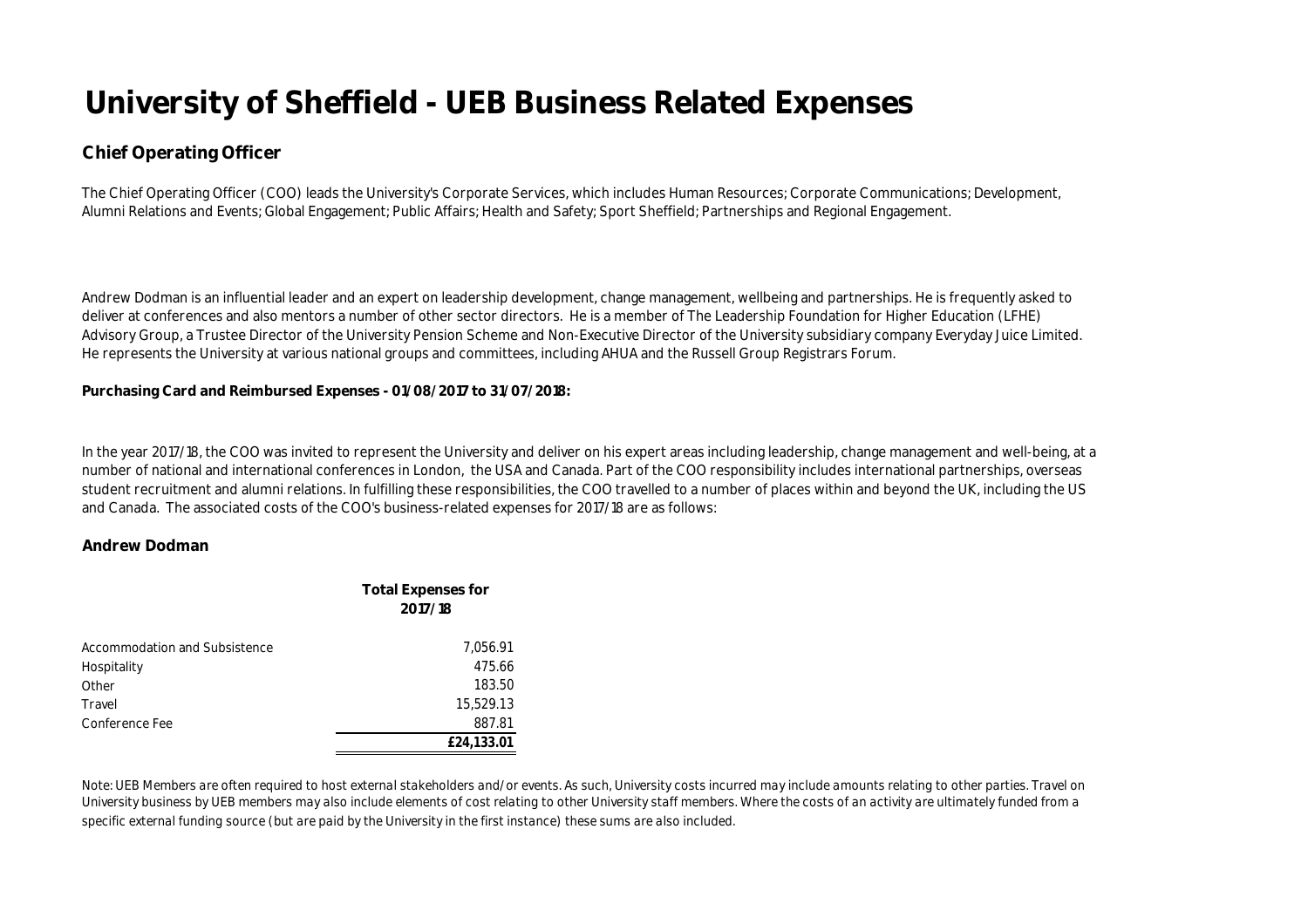### **Chief Operating Officer**

The Chief Operating Officer (COO) leads the University's Corporate Services, which includes Human Resources; Corporate Communications; Development, Alumni Relations and Events; Global Engagement; Public Affairs; Health and Safety; Sport Sheffield; Partnerships and Regional Engagement.

Andrew Dodman is an influential leader and an expert on leadership development, change management, wellbeing and partnerships. He is frequently asked to deliver at conferences and also mentors a number of other sector directors. He is a member of The Leadership Foundation for Higher Education (LFHE) Advisory Group, a Trustee Director of the University Pension Scheme and Non-Executive Director of the University subsidiary company Everyday Juice Limited. He represents the University at various national groups and committees, including AHUA and the Russell Group Registrars Forum.

#### **Purchasing Card and Reimbursed Expenses - 01/08/2017 to 31/07/2018:**

In the year 2017/18, the COO was invited to represent the University and deliver on his expert areas including leadership, change management and well-being, at a number of national and international conferences in London, the USA and Canada. Part of the COO responsibility includes international partnerships, overseas student recruitment and alumni relations. In fulfilling these responsibilities, the COO travelled to a number of places within and beyond the UK, including the US and Canada. The associated costs of the COO's business-related expenses for 2017/18 are as follows:

#### **Andrew Dodman**

|                               | <b>Total Expenses for</b><br>2017/18 |
|-------------------------------|--------------------------------------|
| Accommodation and Subsistence | 7,056.91                             |
| Hospitality                   | 475.66                               |
| Other                         | 183.50                               |
| Travel                        | 15,529.13                            |
| Conference Fee                | 887.81                               |
|                               | £24,133.01                           |